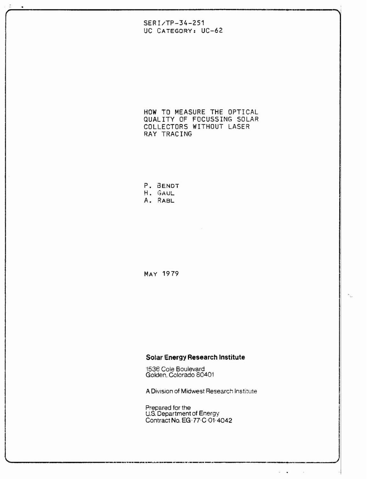# $SERI/TP-34-251$ UC CATEGORY: UC-62

HOW TO MEASURE THE OPTICAL QUALITY OF FOCUSSING SOLAR COLLECTORS WITHOUT LASER RAY TRACING

P. BENDT H. GAUL A. RABL

MAY 1979

## Solar Energy Research Institute

1536 Cole Boulevard<br>Golden, Colorado 80401

A Division of Midwest Research Institute

Prepared for the<br>U.S. Department of Energy<br>Contract No. EG-77-C-01-4042

 $\mathbf{a}^{\mathrm{in}}$  ,  $\mathbf{a}^{\mathrm{in}}$ 

 $\sim$   $\mu$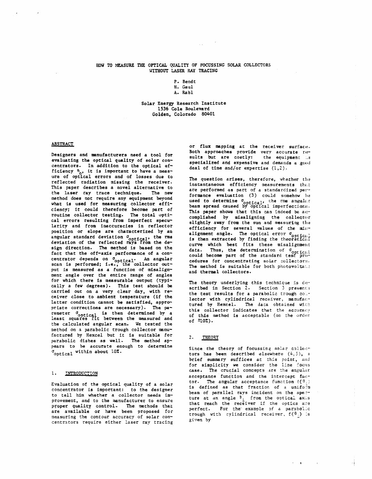## HOW TO MEASURE THE OPTICAL QUALITY OF FOCUSSING SOLAR COLLECTORS **WITHOUT LASER RAY TRACING**

P. Bendt **8.** Gaul

A. Rabl

### Solar Energy Research Institute 1536 **Cole** Boulevard **Golden,** Colorado 80401

### **ABSTRACT**

Designers and manufacturers need a tool for evaluating the optical quality of **solar** concentrators. In addition to the optical efficiency  $n_0$ , it is important to have a measure of optical errors and of losses due to reflected radiation missing the receiver. This paper describes a **novel** alternative to the laser ray **trace** technique. The new method does not require any equipment beyond what is used for measuring collector **efff**ciency; **it could** therefore **become** part of routine collector testing. The total optical errors resulting from imperfect specularity and from inaccuracies in reflector position or slope are characterized by an angular standard deviation  $\sigma$ <sub>ontical</sub>, the rms deviation of the reflected rays from the design direction. The method is based on the fact that the off-axis performance of a concentrator depends on Ooptical. An angular scan is performed; **i.e.,** the collector output is measured as a function of **misaligu**ment **angle** over the entire range of angles for which there is measurable output (typi**cally** a fev degrees). This test should be carried out on a very clear day, with receiver close to ambient temperature (if the latter condition cannot be satisfied, appropriate corrections are necessary). The parameter  $\sigma$ <sub>ootical</sub> is then determined by a least squares fit between the measured and the calculated angular **scan.** We tested the met hod on a parabolic trough collector usanufactured by Hexcel but it is suitable for parabolic dishes as well. **The** method appears to be accurate enough to determine aoptical within about **10Z.** 

#### $1.$ INTRODUCTION

Evaluation of **the** optical **quality** of a solar concentrator is important: to **the** designer to tell him **whether** a collector needs improvement, and to the manufacturer to ensure proper quality control. The methods that **are** available or have **been** proposed for **measuring** the contour accuracy of soLar concentrztors require either laser **ray** tracing or flux mapping at the receiver surface. Both approaches provide very accurate rem sults but are costly: the equipment ... specialized and expensive and demands a good deal of time and/or expertise  $(1,2)$ .

The question arises, therefore, whether the instantaneous efficiency measurements that are performed as part of a standardized performance evaluation (3) could somehow he **used to determine**  $\sigma$  ontical, the rms angular beam spread caused by optical imperfections. This paper shows that this can indeed be ancomplished by misaligning the collector slightly away from the sun and measuring the efficiency for several values of the misalignment angle. The optical error  $\sigma_{\text{onff}}$ <sub>icall</sub> is then extracted by finding the theoretical<br>curve which best fits these misalignment data. Thus, the determination of  $\sigma_{\text{opt-cell}}$ could become part of the standard test. **pro-** $\text{cedures for concentrating solar collector:}.$ The method is suitable for both photovoltane and thermal collectors.

The theory underlying this technique is de**scribed in Section 2.** Section 3 presents the test results for a parabolic trough col.<sup>..</sup> lector with cylindrical receiver, manufact tured by Hexcel. The daca obtained with this collector indicates that the accuracy of this method is acceptable (on the order of *flOX).* 

#### $2.1$ THEORY

Since the theory of focussing solar collectors has been described elsewhere  $(4,5)$ , a brief summary suffices at this point, and for simplicity we consider the line focus **case.** The crucial concepts are the angular acceptance function and the intercept factor. The angular acceptance function  $f(\theta_1)$ is defined as that fraction of a unifolm beam of parallel rays incident on the ape:-- $\tt{ture at}$  an angle  $9<sub>1</sub>$  from the optical axis that reach the receiver if the optics axe perfect. For the example of a parabolic trough with cylindrical receiver,  $f(\theta_1)$  is given **by**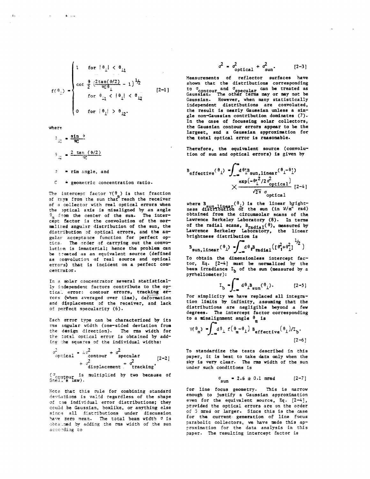$$
f(\theta_{1}) = \begin{cases} 1 & \text{for } |\theta_{1}| < \theta_{11} \\ \cot \frac{\phi}{2} \left( \frac{2 \tan(\phi/2)}{\pi G \theta_{1}} - 1 \right)^{1/2} \\ & \text{for } \theta_{11} < |\theta_{1}| < \theta_{12} \\ 0 & \text{for } |\theta_{1}| > \theta_{12}. \end{cases} \qquad [2-1]
$$

where

 $\Delta\omega$  ,  $\omega$  ,  $\omega$ 

 $\mathbf{1}_{\mathrm{L}\mathrm{L}}$ 

$$
\begin{aligned}\n\theta_{11} &= \frac{\sin \phi}{\pi C} \\
\theta_{12} &= \frac{2 \tan (\phi/2)}{\pi C}\n\end{aligned}
$$
\n
$$
\begin{aligned}\n\ddagger &= \sin \text{ angle, and} \\
\theta_{21} &= \sin \phi\n\end{aligned}
$$

 $\mathcal{C}$ \* geometric concentration ratio.

The intercept factor  $Y(\theta)$  is that fraction<br>of mays from the sun that reach the receiver of a collector with real optical errors when the optical axis is misaligned by an angle  $\hat{\sigma}_{m}$  from the center of the sun. The intercept factor is the convolution of the normalized angular distribution of the sun, the distribution of optical errors, and the angular acceptance function for perfect opties. The order of carrying out the convolution is immaterial; hence the problem can be treated as an equivalent source (defined as convolution of real source and optical errors) that is incident on a perfect concentrator.

In a splar concentrator several statistically independent factors contribute to the optical error: contour errors, tracking errors (when averaged over time), deformation and displacement of the receiver, and lack of perfect specularity (6).

Each error type can be characterized by its rms angular width (one-sided deviation from the design direction). The rms width for the total optical error is obtained by adding the squares of the individual widths:

$$
\sigma_{\text{optical}}^2 = 4 \sigma_{\text{contour}}^2 + \sigma_{\text{specular}}^2
$$
  
+  $\sigma_{\text{displacement}}^2 + \sigma_{\text{tracking}}^2$  [2-2]

("contpur is multiplied by two because of<br>Sneit's law).

Note that this rule for combining standard deviations is valid regardless of the shape of the individual error distributions; they could be Gaussian, boxlike, or anything else since all distributions under discussion have sero mean. The total beam width o is obtained by adding the rms width of the sun according to

$$
\sigma^2 = \sigma_{\text{optical}}^2 + \sigma_{\text{sun}}^2. \tag{2-3}
$$

Measurements of reflector surfaces have shown that the distributions corresponding to denote and depecular can be treated as<br>Gaussian. The other terms may or may not be<br>Gaussian. However, when many statistically independent distributions are convoluted, the result is nearly Gaussian unless a single non-Gaussian contribution dominates (7). In the case of focussing solar collectors, the Gaussian contour errors appear to be the largest, and a Gaussian approximation for the total optical error is reasonable.

Therefore, the equivalent source (convolution of sun and optical errors) is given by

$$
\overset{\text{B}_{\text{effective}}(\theta_1)}{\times} \underset{\times \text{=0}}{\overset{\text{a}}{\text{=0}} \overset{\text{a}}{\text{=0}} \underset{\text{optical}}{\overset{\text{a}}{\text{=0}}}} \overset{\text{(a)}\overset{\text{(b)}}{\text{=0}}}{\underset{\text{ofical}}{\times}} \overset{\text{(b)}\overset{\text{(c)}}{\text{=0}}}{\underset{\text{(2-4)}}{\times}}
$$

where B sun linear  $(\theta_1)$  is the linear bright-<br>ness distribution of the sun (in  $\sqrt[n]{n^2}$  rad) obtained from the circumsolar scans of the obtained from the circumsoral stans of the<br>Lawrence Berkeley Laboratory (8). In terms<br>of the radial scans,  $B_{radia1}(\theta)$ , measured by<br>Lawrence Berkeley Laboratory, the linear brightness distribution is

$$
B_{sun, linear}(\theta_1) = \int_{-\infty}^{\infty} d\theta_1 B_{radial}(\theta_1^2 + \theta_1^2)
$$

To obtain the dimensionless intercept factor, Eq. [2-4] must be normalized by the beam irradiance I<sub>b</sub> of the sun (measured by a pyrheliometer):

$$
I_b = \int_{-\infty}^{\infty} d\theta_i B_{sun}(\theta_i). \qquad [2-5]
$$

For simplicity we have replaced all integration limits by infinity, assuming that the distributions are negligible beyond a few degrees. The intercept factor corresponding to a misalignment angle  $\theta$  is

$$
\Upsilon(\theta_{\mathfrak{m}}) = \int_{-\infty}^{\infty} d\theta_{\perp} f(\theta_{\mathfrak{m}} - \theta_{\perp}) B_{\text{effective}}(\theta_{\perp}) / \mathbb{I}_{\mathfrak{h}}.
$$
\n(2-6)

To standardize the tests described in this paper, it is best to take data only when the sky is very clear. The rms width of the sun under such conditions is

$$
\sigma_{\text{sun}} = 2.6 \pm 0.1 \text{ mrad} \qquad [2-7]
$$

for line focus geometry. This is narrow enough to justify a Gaussian approximation even for the equivalent source, Eq.  $[2-4]$ , provided the optical errors are on the order of 5 mrad or larger. Since this is the case for the current generation of line focus parabolic collectors, we have made this approximation for the data analysis in this paper. The resulting intercept factor is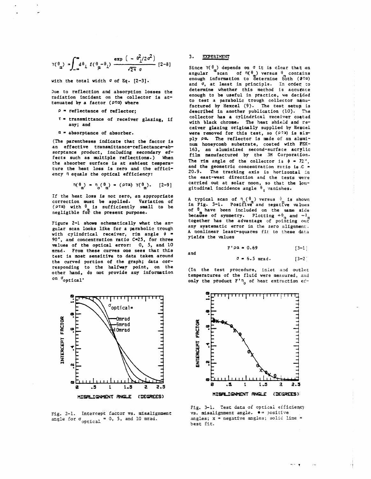$$
\gamma(\theta_{\mathfrak{m}}) = \int_{-\infty}^{\infty} d\theta_{\mathfrak{m}} f(\theta_{\mathfrak{m}} - \theta_{\mathfrak{m}}) \xrightarrow{\exp\left(-\theta_{\mathfrak{m}}^{2}/2\sigma^{2}\right)} [2-8]
$$

with the total width **d** of Eq. [2-3].

**he** to reflection and absorption losses the radiation fncident on the collector is attenuated by a factor **(Pta] where** 

- P = reflectance of reflector;
- r = transmittance of receiver glazing, if any; and
- **a** = absorptance of absorber.

(The parentheses indicate **that the** factor is an effective **transmittsnce-reflectance-ab**sorptance product, **including secondary** effects such as multiple reflections.) When the absorber surface is at **ambient** temperature the heat loss is zero and the efficiency  $\eta$  equals the optical efficiency:

$$
\eta(\theta_m) = \eta(\theta_m) = (\rho \tau a) \gamma(\theta_m). \quad [2-9]
$$

If **the heat** loss is nor zero, an appropriate correction **must** be applied. Variation of **(P'fa)** with **0** is sufficiently small to be negligible fo? the present **purpaee.** 

Figure 2-1 shows schematically what the angular scan looks like for a parabolic trough with cylindrical receiver, rim angle  $\phi =$ **90°,** and concentration **ratio C-25,** for **three values** of the optical error: 0, 5, and 10 mrad. From these curves one sees that this test is **most** sensftive to data taken around the **curved** portion of the graph; data corresponding to the **halfway** point, on the other hand, do **not** provide any information on  $\sigma_{\text{optical}}$ .



Fig. 2-1. Intercept factor vs. misalignment angle for  $\sigma_{\text{optical}} = 0$ , 5, and 10 mrad.

### **EXPERIMENT**  $\overline{3}$ .

**and** 

Since  $Y(\theta_m)$  depends on  $\sigma$  it is clear that an angular <sup>m</sup>scan of  $\eta(\theta_m)$  versus  $\theta_m$  contains enough information to determine both ( $\phi^{T(x)}$ ) and **<sup>d</sup>**, at least in principle. In order to determine whether this mechod is accurace enough to be **useful** in practice, we decided to test a parabolic trough collector manufactured by Bexcel **(9).** The test setup **Ls**  described in another publication (10). The collector **has** a cylindrical rece l.ver **coqt:ad**  with black chrome. The heat shield and receiver glazing originally supplied by Hexcel **were removed for this test, so (Pta) is sim**ply  $\rho a$ . The reflector is made of an aluminum honeycomb substrate, coated with FEK-163, an aluminized second-surface acrylic film manufactured by the 3M Corporation. The rim angle of the collector is  $\phi = 72$ . and the geometric concentration ratio is  $C =$ 20.9. The tracking axis is horizontal in the east-west direction and the tests were carried out at solar noon, **so** that the **4on**gitudinal incidence angle  $\theta_{y}$  vanishes.

A typical scan of  $\eta$  ( $\theta_m$ ) versus  $\phi_m$  is shown in Fig. 3-1. Positive<sup>"</sup> and **aegative** values of  $\theta$ <sub>n</sub> have been included on the same side because of symmetry. Plotting  $+\theta_m$  and  $-\theta_m$ together has the advantage of pointing out any systematic error in the zero alignment. A nonlinear least-squares fit to these data yields the values

 $F' \rho a = 0.69$  [3-1]

**a** = **6.5** mad. **[:3-2** :

(In the test procedure, inlet and outlet **temperatures of the fluid were measured**, and only the product **F'**<sup>n</sup><sub>0</sub> of heat extraction  $E$ <sup>1</sup>.



Fig. 3-1. Test data of optical efficiency **vs.** misalignment angle.  $\bullet$  = positive angles ; **x** = **negative** angles ; soli6: **line** <sup>=</sup> **jest** fit.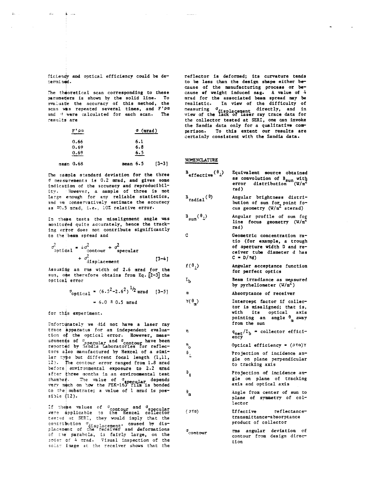ficiency and optical efficiency could be deteruined.

 $4\sigma$ 

The theoretical scan corresponding to these parameters is shown by the solid line. To evaluate the accuracy of this method, the scan was repeated several times, and F'pa and G were calculated for each scan. The results are

|             | F' pa. | $\sigma$ (mrad) |           |
|-------------|--------|-----------------|-----------|
|             | 0.66   | 6.1             |           |
|             | 0.69   | 6.8             |           |
|             | 0.69   | 6.5             |           |
| mean $0.68$ |        | mean $6.5$      | $[3 - 3]$ |

The sample standard deviation for the three If measurements is 0.2 mrad, and gives some indication of the accuracy and reproducibility. However, a sample of three is not large enough for any reliable statistics, and we conservatively estimate the accuracy as #0.5 mrad, i.e., 10% relative error.

In these tests the misalignment angle was monitored quite accurately, hence the tracking error does not contribute significantly to the beam spread and

$$
\sigma_{\text{optical}}^2 = 4\sigma_{\text{contour}}^2 + \sigma_{\text{specular}}^2
$$
  
+ 
$$
\sigma_{\text{displacement}}^2
$$
 [3-4]

Assuming an rms width of 2.6 mrad for the sun, one therefore obtains from Eq. [2-3] the optical error

$$
\sigma_{\text{optical}} = (6.5^2 - 2.6^2)^{1/2} \text{ mrad} \quad [3-5]
$$
  
= 6.0 \pm 0.5 \text{ mrad}

for this experiment.

Unfortunately we did not have a laser ray trace apparatus for an independent evaluation of the optical error. However, measurements of dependent and depression have been<br>reported by Sandia Laboratories for reflectors also manufactured by Hexcel of a similar type but different focal length (1,11, 12). The contour error ranged from 1.3 mrad before environmental exposure to 2.2 mrad after three months in an environmental test shamber. The value of dependance the start of the same of the start of the start of the start of the start of the start of the start of the start of the start of the start of the start of the start of the start of the star to the substrate; a value of 1 mrad is possible  $(12)$ .

If these values of contour and c<sub>opecular</sub><br>were applicable to the Hexcel collector<br>tested at SERT, they would imply that the contribution displacement, caused by dis-<br>placement of the receiver and deformations of the parabola, is fairly large, on the<br>order of 4 mrad. Visual inspection of the solar image at the receiver shows that the

reflector is deformed; its curvature tends to be less than the design shape either because of the manufacturing process or because of weight induced sag. A value of 4 mrad for the associated beam spread may be realistic. In view of the difficulty of measuring of<br>displacement directly, and in<br>view of the lack of laser ray trace data for the collector tested at SERI, one can invoke the Sandia data only for a qualitative comparison. To this extent our results are<br>certainly consistent with the Sandia data.

### NOMENCLATURE

 $\mathbf{C}$ 

 $L_{\rm b}$ 

 $\alpha$ 

n

n<br>o

 $\mathbf{e}_1$ 

 $\theta_{_{\rm I\!I\!I}}$ 

 $\Upsilon(\theta_n)$ 

 $\mathbf{a}$ 

| $B_{\text{effective}}(\theta_1)$ | Equivalent source obtained<br>as convolution of $B_{sun}$ with<br>error distribution $(W/m^2)$<br>rad) |
|----------------------------------|--------------------------------------------------------------------------------------------------------|
| $B_{radial}(\theta)$             | Angular brightness distri-<br>bution of sun for point fo-<br>cus geometry $(W/m^2$ sterad)             |
| 2(8)                             | $h$ noular nroftla of our for                                                                          |

 $\mathbf{B}_{\text{sun}}(\mathbf{v}_1)$ line focus geometry  $(W/m^2)$ rad)

> Geometric concentration ratio (for example, a trough of aperture width D and receiver tube diameter d has  $C = D/\pi d$

- $f(\theta_1)$ Angular acceptance function for perfect optics
	- Beam irradiance as measured by pyrheliometer  $(W/m^2)$

Absorptance of receiver

Intercept factor if 
$$
\text{collector}
$$
 is misaligned; that is, with its optical axis pointing an angle  $\theta$  away from the sun

 $q_{\text{net}}/I_b$  = collector effici-<br>ency

Optical efficiency =  $(27a)$ Y

- Projection of incidence angle on plane perpendicular to tracking axis
- Projection of incidence angle on plane of tracking axis and optical axis

Angle from center of sun to plane of symmetry of collector

 $(5<sup>π</sup>α)$ Effective reflectancetransmittance-absorptance product of collector

rms angular deviation of  $\sigma$ contour contour from design direction